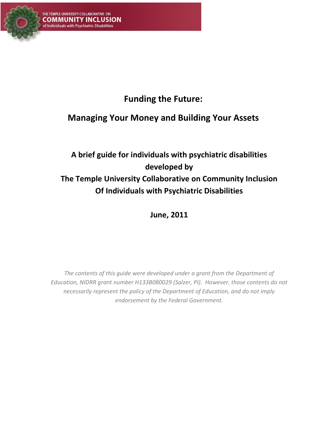

# **Funding the Future:**

## **Managing Your Money and Building Your Assets**

# **A brief guide for individuals with psychiatric disabilities developed by The Temple University Collaborative on Community Inclusion Of Individuals with Psychiatric Disabilities**

**June, 2011**

*The contents of this guide were developed under a grant from the Department of Education, NIDRR grant number H133B080029 (Salzer, PI). However, those contents do not necessarily represent the policy of the Department of Education, and do not imply endorsement by the Federal Government.*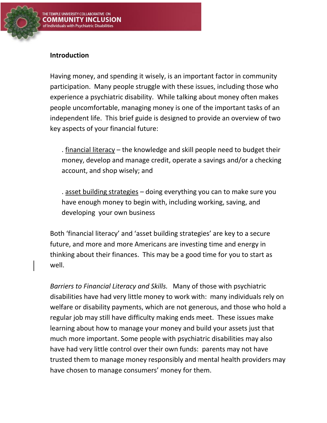

#### **Introduction**

Having money, and spending it wisely, is an important factor in community participation. Many people struggle with these issues, including those who experience a psychiatric disability. While talking about money often makes people uncomfortable, managing money is one of the important tasks of an independent life. This brief guide is designed to provide an overview of two key aspects of your financial future:

. financial literacy – the knowledge and skill people need to budget their money, develop and manage credit, operate a savings and/or a checking account, and shop wisely; and

. asset building strategies – doing everything you can to make sure you have enough money to begin with, including working, saving, and developing your own business

Both 'financial literacy' and 'asset building strategies' are key to a secure future, and more and more Americans are investing time and energy in thinking about their finances. This may be a good time for you to start as well.

*Barriers to Financial Literacy and Skills.* Many of those with psychiatric disabilities have had very little money to work with: many individuals rely on welfare or disability payments, which are not generous, and those who hold a regular job may still have difficulty making ends meet. These issues make learning about how to manage your money and build your assets just that much more important. Some people with psychiatric disabilities may also have had very little control over their own funds: parents may not have trusted them to manage money responsibly and mental health providers may have chosen to manage consumers' money for them.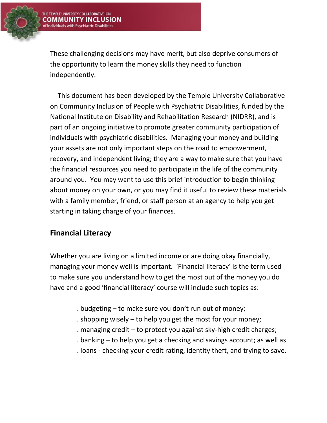These challenging decisions may have merit, but also deprive consumers of the opportunity to learn the money skills they need to function independently.

This document has been developed by the Temple University Collaborative on Community Inclusion of People with Psychiatric Disabilities, funded by the National Institute on Disability and Rehabilitation Research (NIDRR), and is part of an ongoing initiative to promote greater community participation of individuals with psychiatric disabilities. Managing your money and building your assets are not only important steps on the road to empowerment, recovery, and independent living; they are a way to make sure that you have the financial resources you need to participate in the life of the community around you. You may want to use this brief introduction to begin thinking about money on your own, or you may find it useful to review these materials with a family member, friend, or staff person at an agency to help you get starting in taking charge of your finances.

### **Financial Literacy**

Whether you are living on a limited income or are doing okay financially, managing your money well is important. 'Financial literacy' is the term used to make sure you understand how to get the most out of the money you do have and a good 'financial literacy' course will include such topics as:

- . budgeting to make sure you don't run out of money;
- . shopping wisely to help you get the most for your money;
- . managing credit to protect you against sky-high credit charges;
- . banking to help you get a checking and savings account; as well as
- . loans checking your credit rating, identity theft, and trying to save.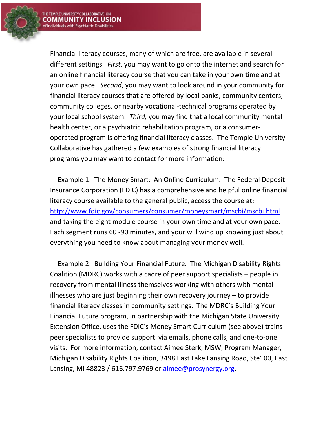

Financial literacy courses, many of which are free, are available in several different settings. *First*, you may want to go onto the internet and search for an online financial literacy course that you can take in your own time and at your own pace. *Second*, you may want to look around in your community for financial literacy courses that are offered by local banks, community centers, community colleges, or nearby vocational-technical programs operated by your local school system. *Third,* you may find that a local community mental health center, or a psychiatric rehabilitation program, or a consumeroperated program is offering financial literacy classes. The Temple University Collaborative has gathered a few examples of strong financial literacy programs you may want to contact for more information:

Example 1: The Money Smart: An Online Curriculum. The Federal Deposit Insurance Corporation (FDIC) has a comprehensive and helpful online financial literacy course available to the general public, access the course at: <http://www.fdic.gov/consumers/consumer/moneysmart/mscbi/mscbi.html> and taking the eight module course in your own time and at your own pace. Each segment runs 60 -90 minutes, and your will wind up knowing just about everything you need to know about managing your money well.

Example 2: Building Your Financial Future. The Michigan Disability Rights Coalition (MDRC) works with a cadre of peer support specialists – people in recovery from mental illness themselves working with others with mental illnesses who are just beginning their own recovery journey – to provide financial literacy classes in community settings. The MDRC's Building Your Financial Future program, in partnership with the Michigan State University Extension Office, uses the FDIC's Money Smart Curriculum (see above) trains peer specialists to provide support via emails, phone calls, and one-to-one visits. For more information, contact Aimee Sterk, MSW, Program Manager, Michigan Disability Rights Coalition, 3498 East Lake Lansing Road, Ste100, East Lansing, MI 48823 / 616.797.9769 or [aimee@prosynergy.org.](mailto:aimee@prosynergy.org)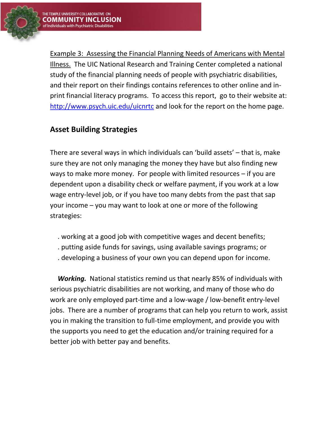

Example 3: Assessing the Financial Planning Needs of Americans with Mental Illness. The UIC National Research and Training Center completed a national study of the financial planning needs of people with psychiatric disabilities, and their report on their findings contains references to other online and inprint financial literacy programs. To access this report, go to their website at: <http://www.psych.uic.edu/uicnrtc> and look for the report on the home page.

### **Asset Building Strategies**

There are several ways in which individuals can 'build assets' – that is, make sure they are not only managing the money they have but also finding new ways to make more money. For people with limited resources – if you are dependent upon a disability check or welfare payment, if you work at a low wage entry-level job, or if you have too many debts from the past that sap your income – you may want to look at one or more of the following strategies:

- . working at a good job with competitive wages and decent benefits;
- . putting aside funds for savings, using available savings programs; or
- . developing a business of your own you can depend upon for income.

*Working.* National statistics remind us that nearly 85% of individuals with serious psychiatric disabilities are not working, and many of those who do work are only employed part-time and a low-wage / low-benefit entry-level jobs. There are a number of programs that can help you return to work, assist you in making the transition to full-time employment, and provide you with the supports you need to get the education and/or training required for a better job with better pay and benefits.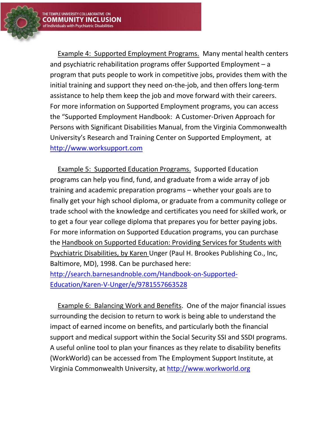

Example 4: Supported Employment Programs. Many mental health centers and psychiatric rehabilitation programs offer Supported Employment – a program that puts people to work in competitive jobs, provides them with the initial training and support they need on-the-job, and then offers long-term assistance to help them keep the job and move forward with their careers. For more information on Supported Employment programs, you can access the "Supported Employment Handbook: A Customer-Driven Approach for Persons with Significant Disabilities Manual, from the Virginia Commonwealth University's Research and Training Center on Supported Employment, at [http://www.worksupport.com](http://www.worksupport.com/)

Example 5: Supported Education Programs. Supported Education programs can help you find, fund, and graduate from a wide array of job training and academic preparation programs – whether your goals are to finally get your high school diploma, or graduate from a community college or trade school with the knowledge and certificates you need for skilled work, or to get a four year college diploma that prepares you for better paying jobs. For more information on Supported Education programs, you can purchase the Handbook on Supported Education: Providing Services for Students with Psychiatric Disabilities, by Karen Unger (Paul H. Brookes Publishing Co., Inc, Baltimore, MD), 1998. Can be purchased here: [http://search.barnesandnoble.com/Handbook-on-Supported-](http://search.barnesandnoble.com/Handbook-on-Supported-Education/Karen-V-Unger/e/9781557663528)[Education/Karen-V-Unger/e/9781557663528](http://search.barnesandnoble.com/Handbook-on-Supported-Education/Karen-V-Unger/e/9781557663528)

Example 6: Balancing Work and Benefits. One of the major financial issues surrounding the decision to return to work is being able to understand the impact of earned income on benefits, and particularly both the financial support and medical support within the Social Security SSI and SSDI programs. A useful online tool to plan your finances as they relate to disability benefits (WorkWorld) can be accessed from The Employment Support Institute, at Virginia Commonwealth University, at [http://www.workworld.org](http://www.workworld.org/)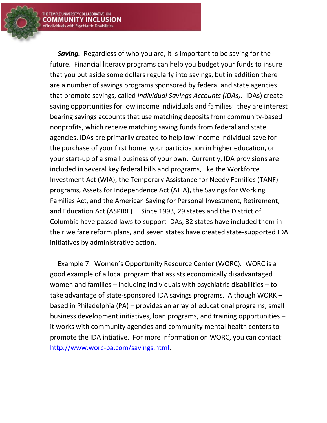

**Saving.** Regardless of who you are, it is important to be saving for the future. Financial literacy programs can help you budget your funds to insure that you put aside some dollars regularly into savings, but in addition there are a number of savings programs sponsored by federal and state agencies that promote savings, called *Individual Savings Accounts (IDAs).* IDAs) create saving opportunities for low income individuals and families: they are interest bearing savings accounts that use matching deposits from community-based nonprofits, which receive matching saving funds from federal and state agencies. IDAs are primarily created to help low-income individual save for the purchase of your first home, your participation in higher education, or your start-up of a small business of your own. Currently, IDA provisions are included in several key federal bills and programs, like the Workforce Investment Act (WIA), the Temporary Assistance for Needy Families (TANF) programs, Assets for Independence Act (AFIA), the Savings for Working Families Act, and the American Saving for Personal Investment, Retirement, and Education Act (ASPIRE) . Since 1993, 29 states and the District of Columbia have passed laws to support IDAs, 32 states have included them in their welfare reform plans, and seven states have created state-supported IDA initiatives by administrative action.

Example 7: Women's Opportunity Resource Center (WORC). WORC is a good example of a local program that assists economically disadvantaged women and families – including individuals with psychiatric disabilities – to take advantage of state-sponsored IDA savings programs. Although WORK – based in Philadelphia (PA) – provides an array of educational programs, small business development initiatives, loan programs, and training opportunities – it works with community agencies and community mental health centers to promote the IDA intiative. For more information on WORC, you can contact: [http://www.worc-pa.com/savings.html.](http://www.worc-pa.com/savings.html)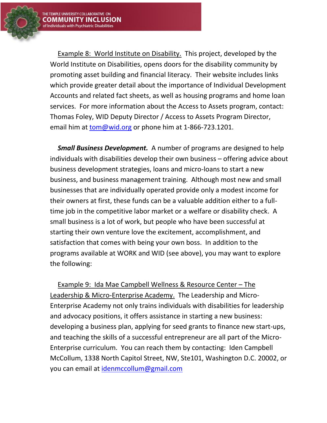

Example 8: World Institute on Disability. This project, developed by the World Institute on Disabilities, opens doors for the disability community by promoting asset building and financial literacy. Their website includes links which provide greater detail about the importance of Individual Development Accounts and related fact sheets, as well as housing programs and home loan services. For more information about the Access to Assets program, contact: Thomas Foley, WID Deputy Director / Access to Assets Program Director, email him at [tom@wid.org](mailto:tom@wid.org) or phone him at 1-866-723.1201.

*Small Business Development.* A number of programs are designed to help individuals with disabilities develop their own business – offering advice about business development strategies, loans and micro-loans to start a new business, and business management training. Although most new and small businesses that are individually operated provide only a modest income for their owners at first, these funds can be a valuable addition either to a fulltime job in the competitive labor market or a welfare or disability check. A small business is a lot of work, but people who have been successful at starting their own venture love the excitement, accomplishment, and satisfaction that comes with being your own boss. In addition to the programs available at WORK and WID (see above), you may want to explore the following:

Example 9: Ida Mae Campbell Wellness & Resource Center – The Leadership & Micro-Enterprise Academy. The Leadership and Micro-Enterprise Academy not only trains individuals with disabilities for leadership and advocacy positions, it offers assistance in starting a new business: developing a business plan, applying for seed grants to finance new start-ups, and teaching the skills of a successful entrepreneur are all part of the Micro-Enterprise curriculum. You can reach them by contacting: Iden Campbell McCollum, 1338 North Capitol Street, NW, Ste101, Washington D.C. 20002, or you can email at [idenmccollum@gmail.com](file:///C:/Users/tub02287/AppData/Local/Microsoft/Windows/Temporary%20Internet%20Files/Low/Content.IE5/1289595R/idenmccollum@gmail.com)